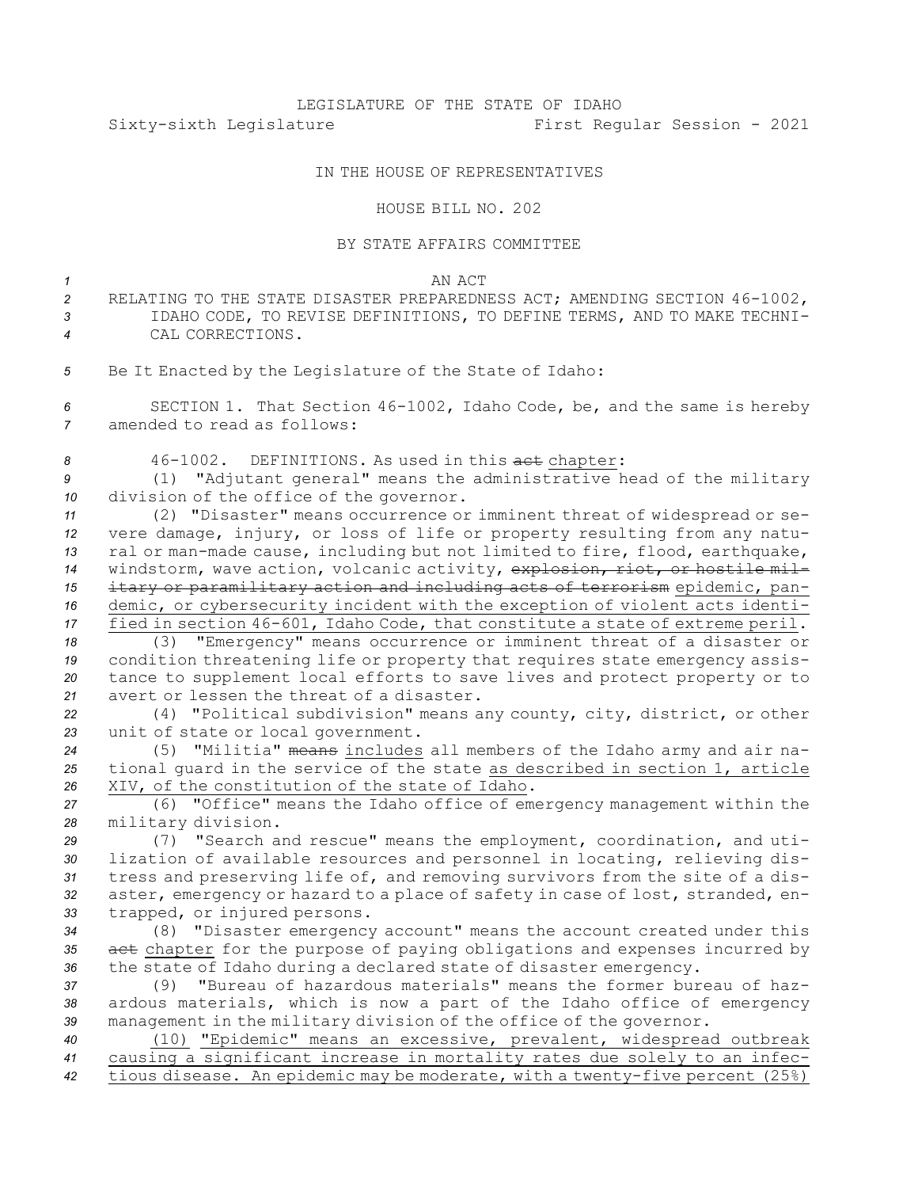## IN THE HOUSE OF REPRESENTATIVES

## HOUSE BILL NO. 202

## BY STATE AFFAIRS COMMITTEE

*1* AN ACT

- *<sup>2</sup>* RELATING TO THE STATE DISASTER PREPAREDNESS ACT; AMENDING SECTION 46-1002, *3* IDAHO CODE, TO REVISE DEFINITIONS, TO DEFINE TERMS, AND TO MAKE TECHNI-*4* CAL CORRECTIONS.
- *<sup>5</sup>* Be It Enacted by the Legislature of the State of Idaho:

*<sup>6</sup>* SECTION 1. That Section 46-1002, Idaho Code, be, and the same is hereby *7* amended to read as follows:

8 46-1002. DEFINITIONS. As used in this act chapter:

*<sup>9</sup>* (1) "Adjutant general" means the administrative head of the military *<sup>10</sup>* division of the office of the governor.

 (2) "Disaster" means occurrence or imminent threat of widespread or se- vere damage, injury, or loss of life or property resulting from any natu- ral or man-made cause, including but not limited to fire, flood, earthquake, windstorm, wave action, volcanic activity, explosion, riot, or hostile mil- itary or paramilitary action and including acts of terrorism epidemic, pan- demic, or cybersecurity incident with the exception of violent acts identi-fied in section 46-601, Idaho Code, that constitute <sup>a</sup> state of extreme peril.

 (3) "Emergency" means occurrence or imminent threat of <sup>a</sup> disaster or condition threatening life or property that requires state emergency assis- tance to supplement local efforts to save lives and protect property or to avert or lessen the threat of <sup>a</sup> disaster.

*<sup>22</sup>* (4) "Political subdivision" means any county, city, district, or other *<sup>23</sup>* unit of state or local government.

*<sup>24</sup>* (5) "Militia" means includes all members of the Idaho army and air na-*<sup>25</sup>* tional guard in the service of the state as described in section 1, article *<sup>26</sup>* XIV, of the constitution of the state of Idaho.

*<sup>27</sup>* (6) "Office" means the Idaho office of emergency management within the *<sup>28</sup>* military division.

 (7) "Search and rescue" means the employment, coordination, and uti- lization of available resources and personnel in locating, relieving dis- tress and preserving life of, and removing survivors from the site of <sup>a</sup> dis- aster, emergency or hazard to <sup>a</sup> place of safety in case of lost, stranded, en-trapped, or injured persons.

*<sup>34</sup>* (8) "Disaster emergency account" means the account created under this *<sup>35</sup>* act chapter for the purpose of paying obligations and expenses incurred by *<sup>36</sup>* the state of Idaho during <sup>a</sup> declared state of disaster emergency.

*37* (9) "Bureau of hazardous materials" means the former bureau of haz-*<sup>38</sup>* ardous materials, which is now <sup>a</sup> part of the Idaho office of emergency *<sup>39</sup>* management in the military division of the office of the governor.

*<sup>40</sup>* (10) "Epidemic" means an excessive, prevalent, widespread outbreak *<sup>41</sup>* causing <sup>a</sup> significant increase in mortality rates due solely to an infec-*<sup>42</sup>* tious disease. An epidemic may be moderate, with <sup>a</sup> twenty-five percent (25%)